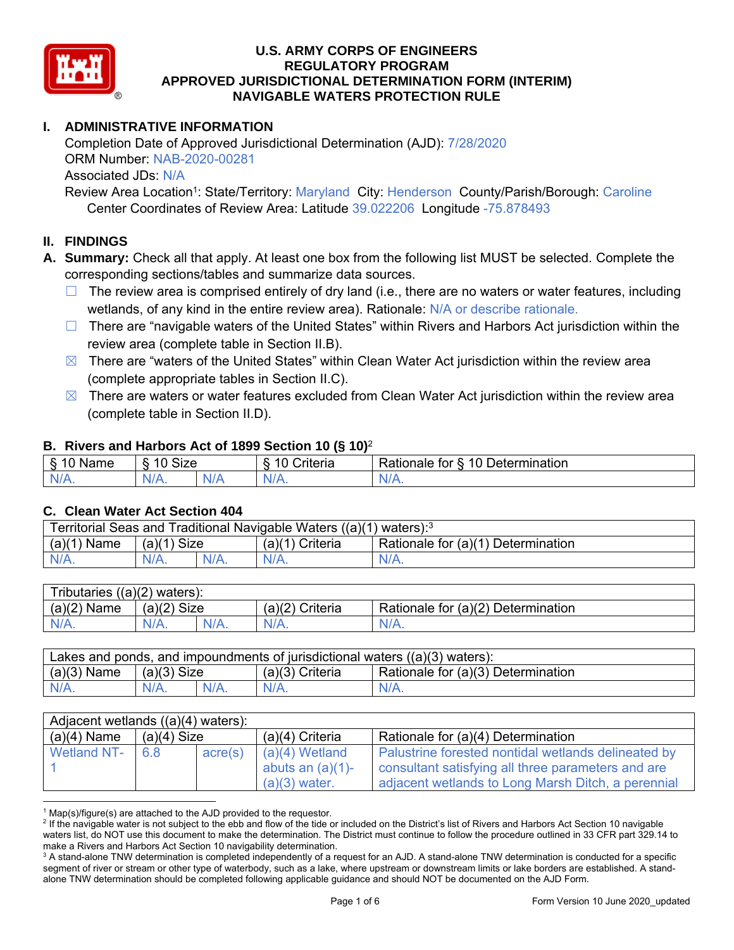

## **I. ADMINISTRATIVE INFORMATION**

Completion Date of Approved Jurisdictional Determination (AJD): 7/28/2020 ORM Number: NAB-2020-00281 Associated JDs: N/A

Review Area Location<sup>1</sup>: State/Territory: Maryland City: Henderson County/Parish/Borough: Caroline Center Coordinates of Review Area: Latitude 39.022206 Longitude -75.878493

### **II. FINDINGS**

**A. Summary:** Check all that apply. At least one box from the following list MUST be selected. Complete the corresponding sections/tables and summarize data sources.

- $\Box$  The review area is comprised entirely of dry land (i.e., there are no waters or water features, including wetlands, of any kind in the entire review area). Rationale: N/A or describe rationale.
- $\Box$  There are "navigable waters of the United States" within Rivers and Harbors Act jurisdiction within the review area (complete table in Section II.B).
- $\boxtimes$  There are "waters of the United States" within Clean Water Act jurisdiction within the review area (complete appropriate tables in Section II.C).
- $\boxtimes$  There are waters or water features excluded from Clean Water Act jurisdiction within the review area (complete table in Section II.D).

#### **B. Rivers and Harbors Act of 1899 Section 10 (§ 10)**<sup>2</sup>

| ε<br>Name<br>ິ<br>- 10 | <b>Size</b><br>$\overline{A}$ |     | $\overline{A}$<br>`rıtorıa`<br>ntena<br>. .<br>` | -<br>$\overline{\phantom{a}}$<br>10<br>Determination<br><b>∢ationale</b><br>tor<br>. . |
|------------------------|-------------------------------|-----|--------------------------------------------------|----------------------------------------------------------------------------------------|
| N/L<br>.               | ,,<br>N/A.                    | NIA | $N/A$ .                                          | W.<br>11 I N.                                                                          |

#### **C. Clean Water Act Section 404**

| Territorial Seas and Traditional Navigable Waters $((a)(1)$ waters): <sup>3</sup> |                |         |                                |                                    |  |  |
|-----------------------------------------------------------------------------------|----------------|---------|--------------------------------|------------------------------------|--|--|
| (a)(1)<br>Name                                                                    | Size<br>(a)(1) |         | (a)( <sup>1)</sup><br>Criteria | Rationale for (a)(1) Determination |  |  |
|                                                                                   | $N/A$ .        | $N/A$ . | N/A.                           | $N/A$ .                            |  |  |

| Tributaries $((a)(2)$ waters): |               |      |                 |                                    |  |  |  |
|--------------------------------|---------------|------|-----------------|------------------------------------|--|--|--|
| $(a)(2)$ Name                  | $(a)(2)$ Size |      | (a)(2) Criteria | Rationale for (a)(2) Determination |  |  |  |
| $N/A$ .                        | $N/A$ .       | N/A. | $N/A$ .         | $N/A$ .                            |  |  |  |

| Lakes and ponds, and impoundments of jurisdictional waters $((a)(3)$ waters): |               |         |                   |                                    |  |
|-------------------------------------------------------------------------------|---------------|---------|-------------------|------------------------------------|--|
| $(a)(3)$ Name                                                                 | $(a)(3)$ Size |         | $(a)(3)$ Criteria | Rationale for (a)(3) Determination |  |
| $N/A$ .                                                                       | $N/A$ .       | $N/A$ . | $N/A$ .           | $N/A$ .                            |  |

| Adjacent wetlands $((a)(4)$ waters): |               |         |                     |                                                     |  |  |
|--------------------------------------|---------------|---------|---------------------|-----------------------------------------------------|--|--|
| $(a)(4)$ Name                        | $(a)(4)$ Size |         | $(a)(4)$ Criteria   | Rationale for (a)(4) Determination                  |  |  |
| <b>Wetland NT-</b>                   | 6.8           | acre(s) | $(a)(4)$ Wetland    | Palustrine forested nontidal wetlands delineated by |  |  |
|                                      |               |         | abuts an $(a)(1)$ - | consultant satisfying all three parameters and are  |  |  |
|                                      |               |         | $(a)(3)$ water.     | adjacent wetlands to Long Marsh Ditch, a perennial  |  |  |

 $\overline{a}$  $1$  Map(s)/figure(s) are attached to the AJD provided to the requestor.

 $^2$  If the navigable water is not subject to the ebb and flow of the tide or included on the District's list of Rivers and Harbors Act Section 10 navigable waters list, do NOT use this document to make the determination. The District must continue to follow the procedure outlined in 33 CFR part 329.14 to make a Rivers and Harbors Act Section 10 navigability determination.

 $^3$  A stand-alone TNW determination is completed independently of a request for an AJD. A stand-alone TNW determination is conducted for a specific segment of river or stream or other type of waterbody, such as a lake, where upstream or downstream limits or lake borders are established. A standalone TNW determination should be completed following applicable guidance and should NOT be documented on the AJD Form.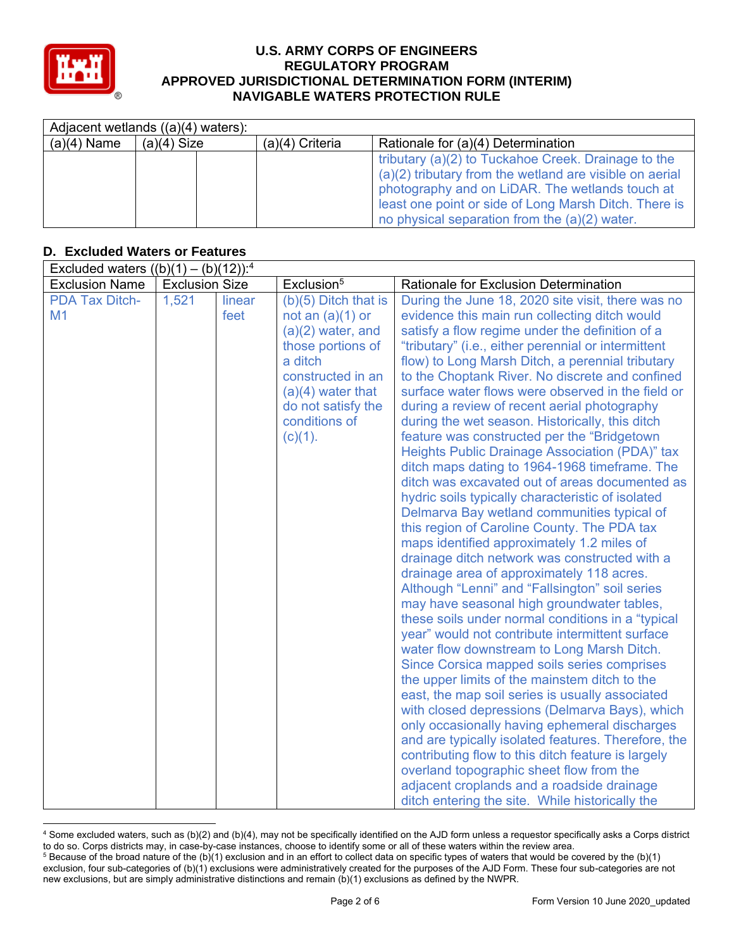

 $\overline{a}$ 

#### **U.S. ARMY CORPS OF ENGINEERS REGULATORY PROGRAM APPROVED JURISDICTIONAL DETERMINATION FORM (INTERIM) NAVIGABLE WATERS PROTECTION RULE**

|               | Adjacent wetlands $((a)(4)$ waters): |                   |                                                         |
|---------------|--------------------------------------|-------------------|---------------------------------------------------------|
| $(a)(4)$ Name | $(a)(4)$ Size                        | $(a)(4)$ Criteria | Rationale for (a)(4) Determination                      |
|               |                                      |                   | tributary (a)(2) to Tuckahoe Creek. Drainage to the     |
|               |                                      |                   | (a)(2) tributary from the wetland are visible on aerial |
|               |                                      |                   | photography and on LiDAR. The wetlands touch at         |
|               |                                      |                   | least one point or side of Long Marsh Ditch. There is   |
|               |                                      |                   | no physical separation from the (a)(2) water.           |

## **D. Excluded Waters or Features**

| Excluded waters $((b)(1) - (b)(12))$ : <sup>4</sup> |                       |                |                                                                                                                                                                                                      |                                                                                                                                                                                                                                                                                                                                                                                                                                                                                                                                                                                                                                                                                                                                                                                                                                                                                                                                                                                                                                                                                                                                                                                                                                                                                                                                                                                                                                                                                                                                                                                                                                                                                                                                                       |
|-----------------------------------------------------|-----------------------|----------------|------------------------------------------------------------------------------------------------------------------------------------------------------------------------------------------------------|-------------------------------------------------------------------------------------------------------------------------------------------------------------------------------------------------------------------------------------------------------------------------------------------------------------------------------------------------------------------------------------------------------------------------------------------------------------------------------------------------------------------------------------------------------------------------------------------------------------------------------------------------------------------------------------------------------------------------------------------------------------------------------------------------------------------------------------------------------------------------------------------------------------------------------------------------------------------------------------------------------------------------------------------------------------------------------------------------------------------------------------------------------------------------------------------------------------------------------------------------------------------------------------------------------------------------------------------------------------------------------------------------------------------------------------------------------------------------------------------------------------------------------------------------------------------------------------------------------------------------------------------------------------------------------------------------------------------------------------------------------|
| <b>Exclusion Name</b>                               | <b>Exclusion Size</b> |                | Exclusion <sup>5</sup>                                                                                                                                                                               | <b>Rationale for Exclusion Determination</b>                                                                                                                                                                                                                                                                                                                                                                                                                                                                                                                                                                                                                                                                                                                                                                                                                                                                                                                                                                                                                                                                                                                                                                                                                                                                                                                                                                                                                                                                                                                                                                                                                                                                                                          |
| <b>PDA Tax Ditch-</b><br>M1                         | 1,521                 | linear<br>feet | $(b)(5)$ Ditch that is<br>not an $(a)(1)$ or<br>$(a)(2)$ water, and<br>those portions of<br>a ditch<br>constructed in an<br>$(a)(4)$ water that<br>do not satisfy the<br>conditions of<br>$(c)(1)$ . | During the June 18, 2020 site visit, there was no<br>evidence this main run collecting ditch would<br>satisfy a flow regime under the definition of a<br>"tributary" (i.e., either perennial or intermittent<br>flow) to Long Marsh Ditch, a perennial tributary<br>to the Choptank River. No discrete and confined<br>surface water flows were observed in the field or<br>during a review of recent aerial photography<br>during the wet season. Historically, this ditch<br>feature was constructed per the "Bridgetown"<br>Heights Public Drainage Association (PDA)" tax<br>ditch maps dating to 1964-1968 timeframe. The<br>ditch was excavated out of areas documented as<br>hydric soils typically characteristic of isolated<br>Delmarva Bay wetland communities typical of<br>this region of Caroline County. The PDA tax<br>maps identified approximately 1.2 miles of<br>drainage ditch network was constructed with a<br>drainage area of approximately 118 acres.<br>Although "Lenni" and "Fallsington" soil series<br>may have seasonal high groundwater tables,<br>these soils under normal conditions in a "typical<br>year" would not contribute intermittent surface<br>water flow downstream to Long Marsh Ditch.<br>Since Corsica mapped soils series comprises<br>the upper limits of the mainstem ditch to the<br>east, the map soil series is usually associated<br>with closed depressions (Delmarva Bays), which<br>only occasionally having ephemeral discharges<br>and are typically isolated features. Therefore, the<br>contributing flow to this ditch feature is largely<br>overland topographic sheet flow from the<br>adjacent croplands and a roadside drainage<br>ditch entering the site. While historically the |

<sup>4</sup> Some excluded waters, such as (b)(2) and (b)(4), may not be specifically identified on the AJD form unless a requestor specifically asks a Corps district to do so. Corps districts may, in case-by-case instances, choose to identify some or all of these waters within the review area.  $^5$  Because of the broad nature of the (b)(1) exclusion and in an effort to collect data on specific types of waters that would be covered by the (b)(1)

exclusion, four sub-categories of (b)(1) exclusions were administratively created for the purposes of the AJD Form. These four sub-categories are not new exclusions, but are simply administrative distinctions and remain (b)(1) exclusions as defined by the NWPR.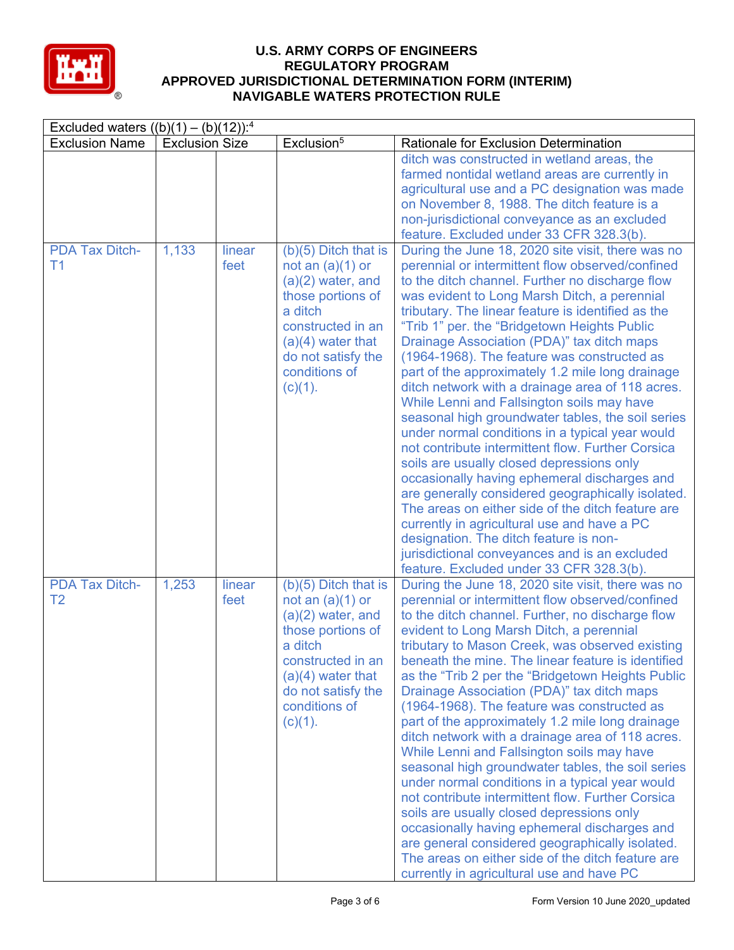

| Excluded waters $((b)(1) - (b)(12))$ : <sup>4</sup> |                       |                |                                                                                                                                                                                                      |                                                                                                                                                                                                                                                                                                                                                                                                                                                                                                                                                                                                                                                                                                                                                                                                                                                                                                                                                                                                                                                                                                                                                                         |
|-----------------------------------------------------|-----------------------|----------------|------------------------------------------------------------------------------------------------------------------------------------------------------------------------------------------------------|-------------------------------------------------------------------------------------------------------------------------------------------------------------------------------------------------------------------------------------------------------------------------------------------------------------------------------------------------------------------------------------------------------------------------------------------------------------------------------------------------------------------------------------------------------------------------------------------------------------------------------------------------------------------------------------------------------------------------------------------------------------------------------------------------------------------------------------------------------------------------------------------------------------------------------------------------------------------------------------------------------------------------------------------------------------------------------------------------------------------------------------------------------------------------|
| <b>Exclusion Name</b>                               | <b>Exclusion Size</b> |                | Exclusion <sup>5</sup>                                                                                                                                                                               | Rationale for Exclusion Determination                                                                                                                                                                                                                                                                                                                                                                                                                                                                                                                                                                                                                                                                                                                                                                                                                                                                                                                                                                                                                                                                                                                                   |
|                                                     |                       |                |                                                                                                                                                                                                      | ditch was constructed in wetland areas, the<br>farmed nontidal wetland areas are currently in<br>agricultural use and a PC designation was made<br>on November 8, 1988. The ditch feature is a<br>non-jurisdictional conveyance as an excluded                                                                                                                                                                                                                                                                                                                                                                                                                                                                                                                                                                                                                                                                                                                                                                                                                                                                                                                          |
| <b>PDA Tax Ditch-</b><br>T <sub>1</sub>             | 1,133                 | linear<br>feet | $(b)(5)$ Ditch that is<br>not an $(a)(1)$ or<br>$(a)(2)$ water, and<br>those portions of<br>a ditch<br>constructed in an<br>$(a)(4)$ water that<br>do not satisfy the<br>conditions of<br>$(c)(1)$ . | feature. Excluded under 33 CFR 328.3(b).<br>During the June 18, 2020 site visit, there was no<br>perennial or intermittent flow observed/confined<br>to the ditch channel. Further no discharge flow<br>was evident to Long Marsh Ditch, a perennial<br>tributary. The linear feature is identified as the<br>"Trib 1" per. the "Bridgetown Heights Public<br>Drainage Association (PDA)" tax ditch maps<br>(1964-1968). The feature was constructed as<br>part of the approximately 1.2 mile long drainage<br>ditch network with a drainage area of 118 acres.<br>While Lenni and Fallsington soils may have<br>seasonal high groundwater tables, the soil series<br>under normal conditions in a typical year would<br>not contribute intermittent flow. Further Corsica<br>soils are usually closed depressions only<br>occasionally having ephemeral discharges and<br>are generally considered geographically isolated.<br>The areas on either side of the ditch feature are<br>currently in agricultural use and have a PC<br>designation. The ditch feature is non-<br>jurisdictional conveyances and is an excluded<br>feature. Excluded under 33 CFR 328.3(b). |
| <b>PDA Tax Ditch-</b><br>T <sub>2</sub>             | 1,253                 | linear<br>feet | $(b)(5)$ Ditch that is<br>not an $(a)(1)$ or<br>$(a)(2)$ water, and<br>those portions of<br>a ditch<br>constructed in an<br>$(a)(4)$ water that<br>do not satisfy the<br>conditions of<br>$(c)(1)$ . | During the June 18, 2020 site visit, there was no<br>perennial or intermittent flow observed/confined<br>to the ditch channel. Further, no discharge flow<br>evident to Long Marsh Ditch, a perennial<br>tributary to Mason Creek, was observed existing<br>beneath the mine. The linear feature is identified<br>as the "Trib 2 per the "Bridgetown Heights Public<br>Drainage Association (PDA)" tax ditch maps<br>(1964-1968). The feature was constructed as<br>part of the approximately 1.2 mile long drainage<br>ditch network with a drainage area of 118 acres.<br>While Lenni and Fallsington soils may have<br>seasonal high groundwater tables, the soil series<br>under normal conditions in a typical year would<br>not contribute intermittent flow. Further Corsica<br>soils are usually closed depressions only<br>occasionally having ephemeral discharges and<br>are general considered geographically isolated.<br>The areas on either side of the ditch feature are<br>currently in agricultural use and have PC                                                                                                                                   |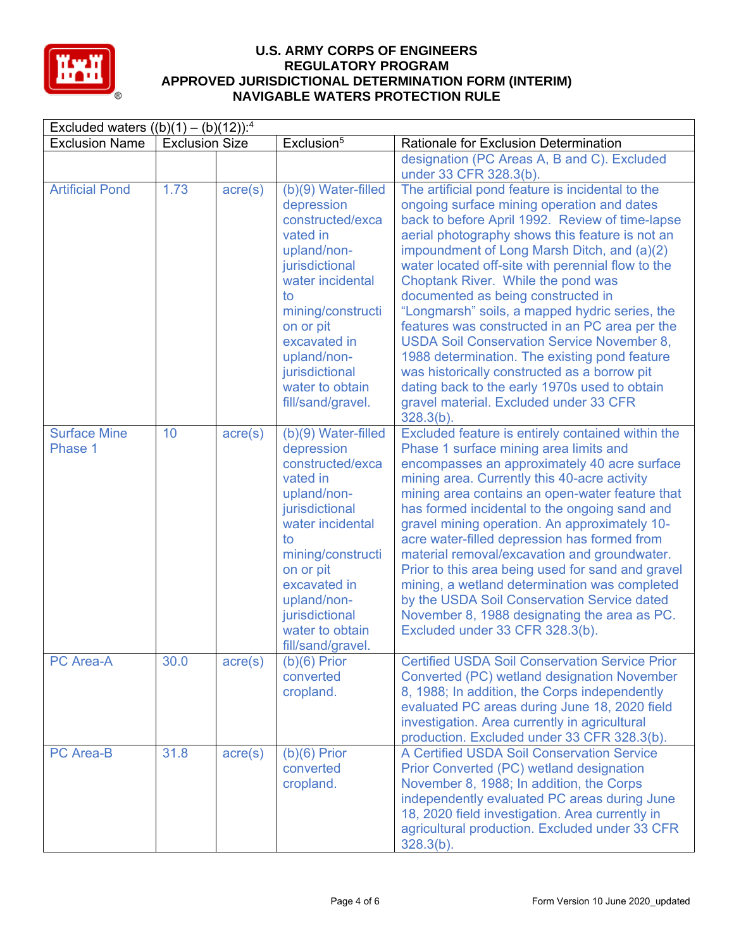

| Excluded waters $((b)(1) - (b)(12))$ : <sup>4</sup> |                       |                  |                                                                                                                                                                                                                                                         |                                                                                                                                                                                                                                                                                                                                                                                                                                                                                                                                                                                                                                                                                                                                                           |  |
|-----------------------------------------------------|-----------------------|------------------|---------------------------------------------------------------------------------------------------------------------------------------------------------------------------------------------------------------------------------------------------------|-----------------------------------------------------------------------------------------------------------------------------------------------------------------------------------------------------------------------------------------------------------------------------------------------------------------------------------------------------------------------------------------------------------------------------------------------------------------------------------------------------------------------------------------------------------------------------------------------------------------------------------------------------------------------------------------------------------------------------------------------------------|--|
| <b>Exclusion Name</b>                               | <b>Exclusion Size</b> |                  | Exclusion <sup>5</sup>                                                                                                                                                                                                                                  | Rationale for Exclusion Determination                                                                                                                                                                                                                                                                                                                                                                                                                                                                                                                                                                                                                                                                                                                     |  |
|                                                     |                       |                  |                                                                                                                                                                                                                                                         | designation (PC Areas A, B and C). Excluded<br>under 33 CFR 328.3(b).                                                                                                                                                                                                                                                                                                                                                                                                                                                                                                                                                                                                                                                                                     |  |
| <b>Artificial Pond</b>                              | 1.73                  | $\text{acre}(s)$ | (b)(9) Water-filled<br>depression<br>constructed/exca<br>vated in<br>upland/non-<br>jurisdictional<br>water incidental<br>to<br>mining/constructi<br>on or pit<br>excavated in<br>upland/non-<br>jurisdictional<br>water to obtain<br>fill/sand/gravel. | The artificial pond feature is incidental to the<br>ongoing surface mining operation and dates<br>back to before April 1992. Review of time-lapse<br>aerial photography shows this feature is not an<br>impoundment of Long Marsh Ditch, and (a)(2)<br>water located off-site with perennial flow to the<br>Choptank River. While the pond was<br>documented as being constructed in<br>"Longmarsh" soils, a mapped hydric series, the<br>features was constructed in an PC area per the<br><b>USDA Soil Conservation Service November 8,</b><br>1988 determination. The existing pond feature<br>was historically constructed as a borrow pit<br>dating back to the early 1970s used to obtain<br>gravel material. Excluded under 33 CFR<br>$328.3(b)$ . |  |
| <b>Surface Mine</b><br>Phase 1                      | 10                    | $\text{acre}(s)$ | (b)(9) Water-filled<br>depression<br>constructed/exca<br>vated in<br>upland/non-<br>jurisdictional<br>water incidental<br>to<br>mining/constructi<br>on or pit<br>excavated in<br>upland/non-<br>jurisdictional<br>water to obtain<br>fill/sand/gravel. | Excluded feature is entirely contained within the<br>Phase 1 surface mining area limits and<br>encompasses an approximately 40 acre surface<br>mining area. Currently this 40-acre activity<br>mining area contains an open-water feature that<br>has formed incidental to the ongoing sand and<br>gravel mining operation. An approximately 10-<br>acre water-filled depression has formed from<br>material removal/excavation and groundwater.<br>Prior to this area being used for sand and gravel<br>mining, a wetland determination was completed<br>by the USDA Soil Conservation Service dated<br>November 8, 1988 designating the area as PC.<br>Excluded under 33 CFR 328.3(b).                                                                  |  |
| PC Area-A                                           | 30.0                  | $\text{acre}(s)$ | $(b)(6)$ Prior<br>converted<br>cropland.                                                                                                                                                                                                                | <b>Certified USDA Soil Conservation Service Prior</b><br>Converted (PC) wetland designation November<br>8, 1988; In addition, the Corps independently<br>evaluated PC areas during June 18, 2020 field<br>investigation. Area currently in agricultural<br>production. Excluded under 33 CFR 328.3(b).                                                                                                                                                                                                                                                                                                                                                                                                                                                    |  |
| <b>PC Area-B</b>                                    | 31.8                  | $\text{acre}(s)$ | $(b)(6)$ Prior<br>converted<br>cropland.                                                                                                                                                                                                                | A Certified USDA Soil Conservation Service<br>Prior Converted (PC) wetland designation<br>November 8, 1988; In addition, the Corps<br>independently evaluated PC areas during June<br>18, 2020 field investigation. Area currently in<br>agricultural production. Excluded under 33 CFR<br>$328.3(b)$ .                                                                                                                                                                                                                                                                                                                                                                                                                                                   |  |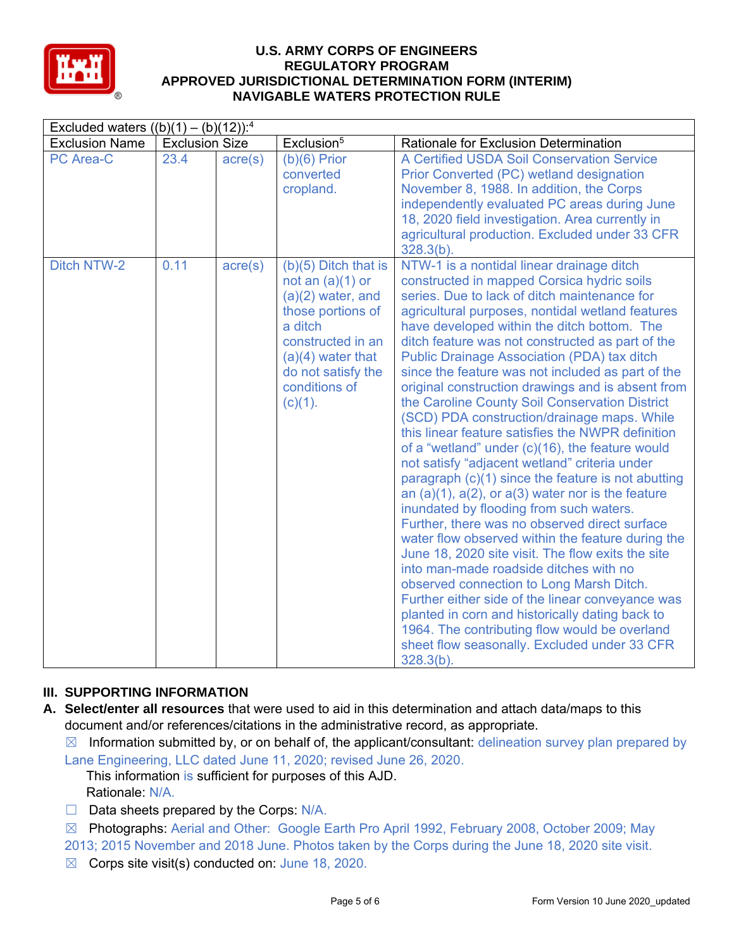

| Excluded waters $((b)(1) - (b)(12))$ : <sup>4</sup> |                       |                  |                                                                                                                                                                                                      |                                                                                                                                                                                                                                                                                                                                                                                                                                                                                                                                                                                                                                                                                                                                                                                                                                                                                                                                                                                                                                                                                                                                                                                                                                                                                                                                                                 |
|-----------------------------------------------------|-----------------------|------------------|------------------------------------------------------------------------------------------------------------------------------------------------------------------------------------------------------|-----------------------------------------------------------------------------------------------------------------------------------------------------------------------------------------------------------------------------------------------------------------------------------------------------------------------------------------------------------------------------------------------------------------------------------------------------------------------------------------------------------------------------------------------------------------------------------------------------------------------------------------------------------------------------------------------------------------------------------------------------------------------------------------------------------------------------------------------------------------------------------------------------------------------------------------------------------------------------------------------------------------------------------------------------------------------------------------------------------------------------------------------------------------------------------------------------------------------------------------------------------------------------------------------------------------------------------------------------------------|
| <b>Exclusion Name</b>                               | <b>Exclusion Size</b> |                  | Exclusion <sup>5</sup>                                                                                                                                                                               | Rationale for Exclusion Determination                                                                                                                                                                                                                                                                                                                                                                                                                                                                                                                                                                                                                                                                                                                                                                                                                                                                                                                                                                                                                                                                                                                                                                                                                                                                                                                           |
| <b>PC Area-C</b>                                    | 23.4                  | $\text{acre}(s)$ | $(b)(6)$ Prior<br>converted<br>cropland.                                                                                                                                                             | A Certified USDA Soil Conservation Service<br>Prior Converted (PC) wetland designation<br>November 8, 1988. In addition, the Corps<br>independently evaluated PC areas during June<br>18, 2020 field investigation. Area currently in<br>agricultural production. Excluded under 33 CFR<br>$328.3(b)$ .                                                                                                                                                                                                                                                                                                                                                                                                                                                                                                                                                                                                                                                                                                                                                                                                                                                                                                                                                                                                                                                         |
| Ditch NTW-2                                         | 0.11                  | $\text{acre}(s)$ | $(b)(5)$ Ditch that is<br>not an $(a)(1)$ or<br>$(a)(2)$ water, and<br>those portions of<br>a ditch<br>constructed in an<br>$(a)(4)$ water that<br>do not satisfy the<br>conditions of<br>$(c)(1)$ . | NTW-1 is a nontidal linear drainage ditch<br>constructed in mapped Corsica hydric soils<br>series. Due to lack of ditch maintenance for<br>agricultural purposes, nontidal wetland features<br>have developed within the ditch bottom. The<br>ditch feature was not constructed as part of the<br><b>Public Drainage Association (PDA) tax ditch</b><br>since the feature was not included as part of the<br>original construction drawings and is absent from<br>the Caroline County Soil Conservation District<br>(SCD) PDA construction/drainage maps. While<br>this linear feature satisfies the NWPR definition<br>of a "wetland" under (c)(16), the feature would<br>not satisfy "adjacent wetland" criteria under<br>paragraph (c)(1) since the feature is not abutting<br>an $(a)(1)$ , $a(2)$ , or $a(3)$ water nor is the feature<br>inundated by flooding from such waters.<br>Further, there was no observed direct surface<br>water flow observed within the feature during the<br>June 18, 2020 site visit. The flow exits the site<br>into man-made roadside ditches with no<br>observed connection to Long Marsh Ditch.<br>Further either side of the linear conveyance was<br>planted in corn and historically dating back to<br>1964. The contributing flow would be overland<br>sheet flow seasonally. Excluded under 33 CFR<br>$328.3(b)$ . |

### **III. SUPPORTING INFORMATION**

- **A. Select/enter all resources** that were used to aid in this determination and attach data/maps to this document and/or references/citations in the administrative record, as appropriate.
	- $\boxtimes$  Information submitted by, or on behalf of, the applicant/consultant: delineation survey plan prepared by Lane Engineering, LLC dated June 11, 2020; revised June 26, 2020.
		- This information is sufficient for purposes of this AJD. Rationale: N/A.
	- ☐ Data sheets prepared by the Corps: N/A.
	- ☒ Photographs: Aerial and Other: Google Earth Pro April 1992, February 2008, October 2009; May
	- 2013; 2015 November and 2018 June. Photos taken by the Corps during the June 18, 2020 site visit.
	- $\boxtimes$  Corps site visit(s) conducted on: June 18, 2020.